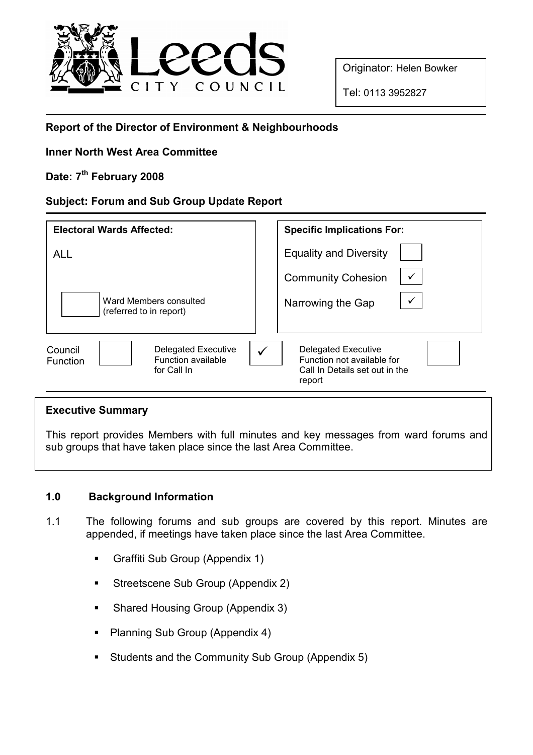

Originator: Helen Bowker

Tel: 0113 3952827

# Report of the Director of Environment & Neighbourhoods

## Inner North West Area Committee

# Date: 7<sup>th</sup> February 2008

#### Subject: Forum and Sub Group Update Report

| <b>Electoral Wards Affected:</b>                                                       | <b>Specific Implications For:</b>                                                                         |
|----------------------------------------------------------------------------------------|-----------------------------------------------------------------------------------------------------------|
| <b>ALL</b>                                                                             | <b>Equality and Diversity</b>                                                                             |
|                                                                                        | $\checkmark$<br><b>Community Cohesion</b>                                                                 |
| Ward Members consulted<br>(referred to in report)                                      | Narrowing the Gap                                                                                         |
| Delegated Executive<br>Council<br>Function available<br><b>Function</b><br>for Call In | <b>Delegated Executive</b><br>✓<br>Function not available for<br>Call In Details set out in the<br>report |

#### Executive Summary

This report provides Members with full minutes and key messages from ward forums and sub groups that have taken place since the last Area Committee.

## 1.0 Background Information

- 1.1 The following forums and sub groups are covered by this report. Minutes are appended, if meetings have taken place since the last Area Committee.
	- Graffiti Sub Group (Appendix 1)
	- Streetscene Sub Group (Appendix 2)
	- Shared Housing Group (Appendix 3)
	- Planning Sub Group (Appendix 4)
	- Students and the Community Sub Group (Appendix 5)